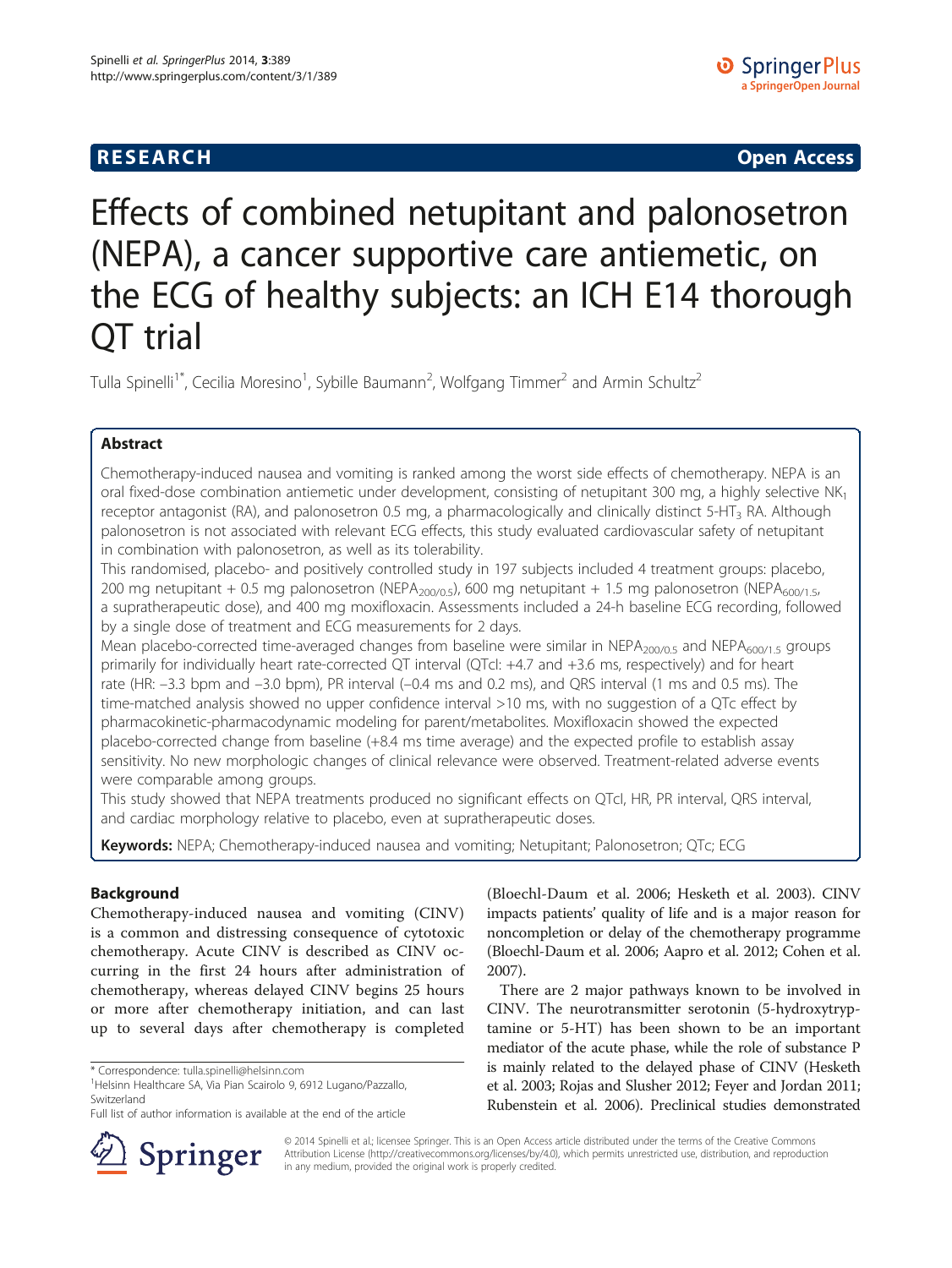# **RESEARCH CHE Open Access**

# Effects of combined netupitant and palonosetron (NEPA), a cancer supportive care antiemetic, on the ECG of healthy subjects: an ICH E14 thorough QT trial

Tulla Spinelli<sup>1\*</sup>, Cecilia Moresino<sup>1</sup>, Sybille Baumann<sup>2</sup>, Wolfgang Timmer<sup>2</sup> and Armin Schultz<sup>2</sup>

# Abstract

Chemotherapy-induced nausea and vomiting is ranked among the worst side effects of chemotherapy. NEPA is an oral fixed-dose combination antiemetic under development, consisting of netupitant 300 mg, a highly selective  $N_{11}$ receptor antagonist (RA), and palonosetron 0.5 mg, a pharmacologically and clinically distinct  $5-\text{HT}_3$  RA. Although palonosetron is not associated with relevant ECG effects, this study evaluated cardiovascular safety of netupitant in combination with palonosetron, as well as its tolerability.

This randomised, placebo- and positively controlled study in 197 subjects included 4 treatment groups: placebo, 200 mg netupitant + 0.5 mg palonosetron (NEPA<sub>200/0.5</sub>), 600 mg netupitant + 1.5 mg palonosetron (NEPA<sub>600/1.5</sub>, a supratherapeutic dose), and 400 mg moxifloxacin. Assessments included a 24-h baseline ECG recording, followed by a single dose of treatment and ECG measurements for 2 days.

Mean placebo-corrected time-averaged changes from baseline were similar in NEPA<sub>200/0.5</sub> and NEPA<sub>600/1.5</sub> groups primarily for individually heart rate-corrected QT interval (QTcI: +4.7 and +3.6 ms, respectively) and for heart rate (HR: –3.3 bpm and –3.0 bpm), PR interval (–0.4 ms and 0.2 ms), and QRS interval (1 ms and 0.5 ms). The time-matched analysis showed no upper confidence interval >10 ms, with no suggestion of a QTc effect by pharmacokinetic-pharmacodynamic modeling for parent/metabolites. Moxifloxacin showed the expected placebo-corrected change from baseline (+8.4 ms time average) and the expected profile to establish assay sensitivity. No new morphologic changes of clinical relevance were observed. Treatment-related adverse events were comparable among groups.

This study showed that NEPA treatments produced no significant effects on QTcI, HR, PR interval, QRS interval, and cardiac morphology relative to placebo, even at supratherapeutic doses.

Keywords: NEPA; Chemotherapy-induced nausea and vomiting; Netupitant; Palonosetron; QTc; ECG

# Background

Chemotherapy-induced nausea and vomiting (CINV) is a common and distressing consequence of cytotoxic chemotherapy. Acute CINV is described as CINV occurring in the first 24 hours after administration of chemotherapy, whereas delayed CINV begins 25 hours or more after chemotherapy initiation, and can last up to several days after chemotherapy is completed

<sup>1</sup>Helsinn Healthcare SA, Via Pian Scairolo 9, 6912 Lugano/Pazzallo, Switzerland

Full list of author information is available at the end of the article



(Bloechl-Daum et al. [2006;](#page-9-0) Hesketh et al. [2003](#page-10-0)). CINV impacts patients' quality of life and is a major reason for noncompletion or delay of the chemotherapy programme (Bloechl-Daum et al. [2006](#page-9-0); Aapro et al. [2012;](#page-9-0) Cohen et al. [2007\)](#page-9-0).

There are 2 major pathways known to be involved in CINV. The neurotransmitter serotonin (5-hydroxytryptamine or 5-HT) has been shown to be an important mediator of the acute phase, while the role of substance P is mainly related to the delayed phase of CINV (Hesketh et al. [2003](#page-10-0); Rojas and Slusher [2012](#page-10-0); Feyer and Jordan [2011](#page-9-0); Rubenstein et al. [2006](#page-10-0)). Preclinical studies demonstrated

© 2014 Spinelli et al.; licensee Springer. This is an Open Access article distributed under the terms of the Creative Commons Attribution License [\(http://creativecommons.org/licenses/by/4.0\)](http://creativecommons.org/licenses/by/4.0), which permits unrestricted use, distribution, and reproduction in any medium, provided the original work is properly credited.

<sup>\*</sup> Correspondence: [tulla.spinelli@helsinn.com](mailto:tulla.spinelli@helsinn.com) <sup>1</sup>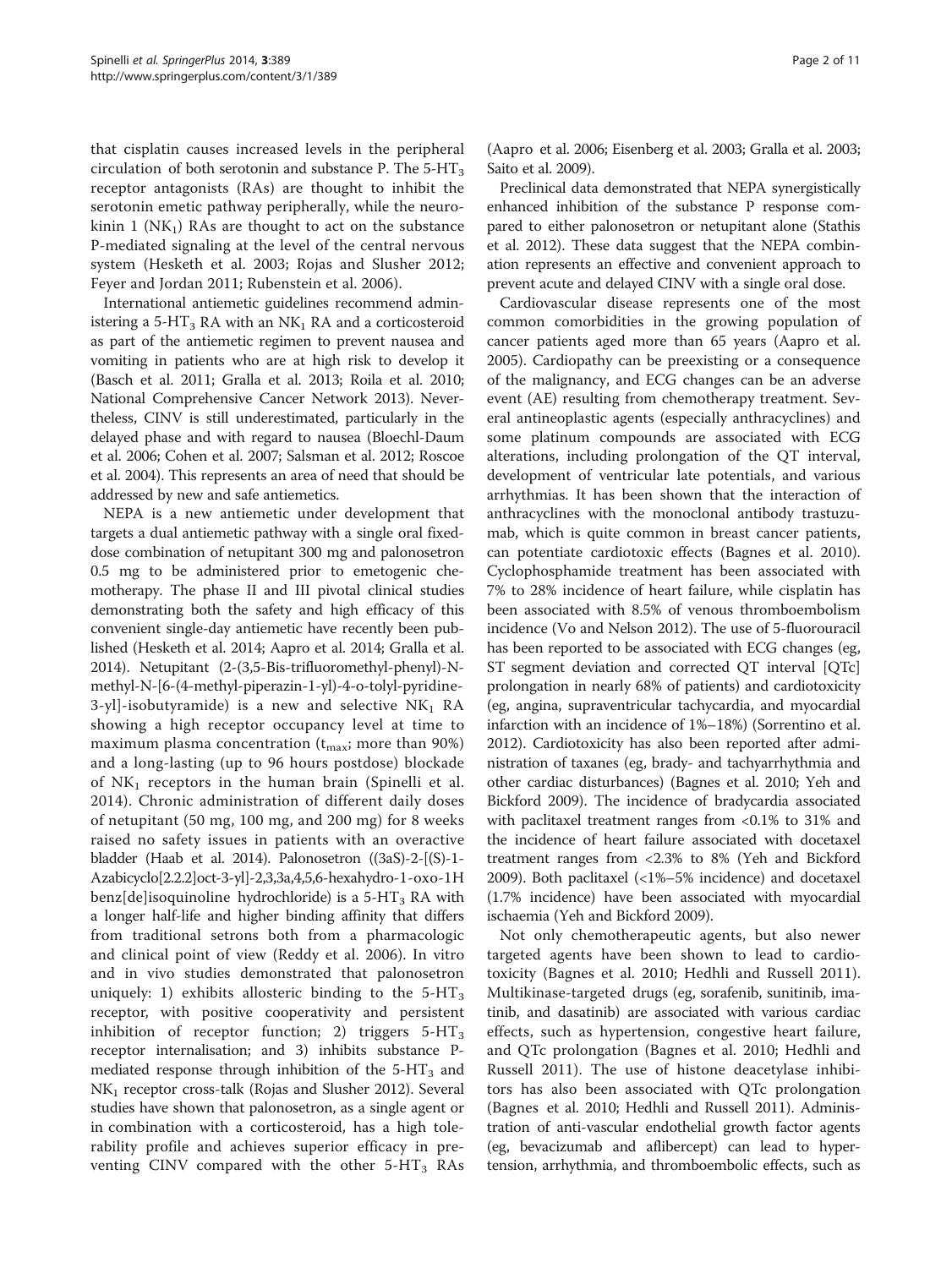that cisplatin causes increased levels in the peripheral circulation of both serotonin and substance P. The  $5-HT_3$ receptor antagonists (RAs) are thought to inhibit the serotonin emetic pathway peripherally, while the neurokinin 1 ( $NK<sub>1</sub>$ ) RAs are thought to act on the substance P-mediated signaling at the level of the central nervous system (Hesketh et al. [2003;](#page-10-0) Rojas and Slusher [2012](#page-10-0); Feyer and Jordan [2011;](#page-9-0) Rubenstein et al. [2006](#page-10-0)).

International antiemetic guidelines recommend administering a 5-HT<sub>3</sub> RA with an NK<sub>1</sub> RA and a corticosteroid as part of the antiemetic regimen to prevent nausea and vomiting in patients who are at high risk to develop it (Basch et al. [2011](#page-9-0); Gralla et al. [2013](#page-10-0); Roila et al. [2010](#page-10-0); National Comprehensive Cancer Network [2013\)](#page-10-0). Nevertheless, CINV is still underestimated, particularly in the delayed phase and with regard to nausea (Bloechl-Daum et al. [2006](#page-9-0); Cohen et al. [2007](#page-9-0); Salsman et al. [2012](#page-10-0); Roscoe et al. [2004\)](#page-10-0). This represents an area of need that should be addressed by new and safe antiemetics.

NEPA is a new antiemetic under development that targets a dual antiemetic pathway with a single oral fixeddose combination of netupitant 300 mg and palonosetron 0.5 mg to be administered prior to emetogenic chemotherapy. The phase II and III pivotal clinical studies demonstrating both the safety and high efficacy of this convenient single-day antiemetic have recently been published (Hesketh et al. [2014;](#page-10-0) Aapro et al. [2014;](#page-9-0) Gralla et al. [2014\)](#page-10-0). Netupitant (2-(3,5-Bis-trifluoromethyl-phenyl)-Nmethyl-N-[6-(4-methyl-piperazin-1-yl)-4-o-tolyl-pyridine-3-yl]-isobutyramide) is a new and selective  $NK_1$  RA showing a high receptor occupancy level at time to maximum plasma concentration ( $t_{\text{max}}$ ; more than 90%) and a long-lasting (up to 96 hours postdose) blockade of  $NK_1$  receptors in the human brain (Spinelli et al. [2014](#page-10-0)). Chronic administration of different daily doses of netupitant (50 mg, 100 mg, and 200 mg) for 8 weeks raised no safety issues in patients with an overactive bladder (Haab et al. [2014](#page-10-0)). Palonosetron ((3aS)-2-[(S)-1- Azabicyclo[2.2.2]oct-3-yl]-2,3,3a,4,5,6-hexahydro-1-oxo-1H benz[de]isoquinoline hydrochloride) is a 5-HT<sub>3</sub> RA with a longer half-life and higher binding affinity that differs from traditional setrons both from a pharmacologic and clinical point of view (Reddy et al. [2006\)](#page-10-0). In vitro and in vivo studies demonstrated that palonosetron uniquely: 1) exhibits allosteric binding to the  $5-HT_3$ receptor, with positive cooperativity and persistent inhibition of receptor function; 2) triggers  $5-HT_3$ receptor internalisation; and 3) inhibits substance Pmediated response through inhibition of the  $5-HT_3$  and  $NK<sub>1</sub>$  receptor cross-talk (Rojas and Slusher [2012\)](#page-10-0). Several studies have shown that palonosetron, as a single agent or in combination with a corticosteroid, has a high tolerability profile and achieves superior efficacy in preventing CINV compared with the other  $5-HT_3$  RAs

(Aapro et al. [2006](#page-9-0); Eisenberg et al. [2003](#page-9-0); Gralla et al. [2003](#page-9-0); Saito et al. [2009](#page-10-0)).

Preclinical data demonstrated that NEPA synergistically enhanced inhibition of the substance P response compared to either palonosetron or netupitant alone (Stathis et al. [2012](#page-10-0)). These data suggest that the NEPA combination represents an effective and convenient approach to prevent acute and delayed CINV with a single oral dose.

Cardiovascular disease represents one of the most common comorbidities in the growing population of cancer patients aged more than 65 years (Aapro et al. [2005](#page-9-0)). Cardiopathy can be preexisting or a consequence of the malignancy, and ECG changes can be an adverse event (AE) resulting from chemotherapy treatment. Several antineoplastic agents (especially anthracyclines) and some platinum compounds are associated with ECG alterations, including prolongation of the QT interval, development of ventricular late potentials, and various arrhythmias. It has been shown that the interaction of anthracyclines with the monoclonal antibody trastuzumab, which is quite common in breast cancer patients, can potentiate cardiotoxic effects (Bagnes et al. [2010](#page-9-0)). Cyclophosphamide treatment has been associated with 7% to 28% incidence of heart failure, while cisplatin has been associated with 8.5% of venous thromboembolism incidence (Vo and Nelson [2012\)](#page-10-0). The use of 5-fluorouracil has been reported to be associated with ECG changes (eg, ST segment deviation and corrected QT interval [QTc] prolongation in nearly 68% of patients) and cardiotoxicity (eg, angina, supraventricular tachycardia, and myocardial infarction with an incidence of 1%–18%) (Sorrentino et al. [2012](#page-10-0)). Cardiotoxicity has also been reported after administration of taxanes (eg, brady- and tachyarrhythmia and other cardiac disturbances) (Bagnes et al. [2010](#page-9-0); Yeh and Bickford [2009](#page-10-0)). The incidence of bradycardia associated with paclitaxel treatment ranges from <0.1% to 31% and the incidence of heart failure associated with docetaxel treatment ranges from <2.3% to 8% (Yeh and Bickford [2009](#page-10-0)). Both paclitaxel (<1%–5% incidence) and docetaxel (1.7% incidence) have been associated with myocardial ischaemia (Yeh and Bickford [2009](#page-10-0)).

Not only chemotherapeutic agents, but also newer targeted agents have been shown to lead to cardiotoxicity (Bagnes et al. [2010;](#page-9-0) Hedhli and Russell [2011](#page-10-0)). Multikinase-targeted drugs (eg, sorafenib, sunitinib, imatinib, and dasatinib) are associated with various cardiac effects, such as hypertension, congestive heart failure, and QTc prolongation (Bagnes et al. [2010](#page-9-0); Hedhli and Russell [2011\)](#page-10-0). The use of histone deacetylase inhibitors has also been associated with QTc prolongation (Bagnes et al. [2010;](#page-9-0) Hedhli and Russell [2011\)](#page-10-0). Administration of anti-vascular endothelial growth factor agents (eg, bevacizumab and aflibercept) can lead to hypertension, arrhythmia, and thromboembolic effects, such as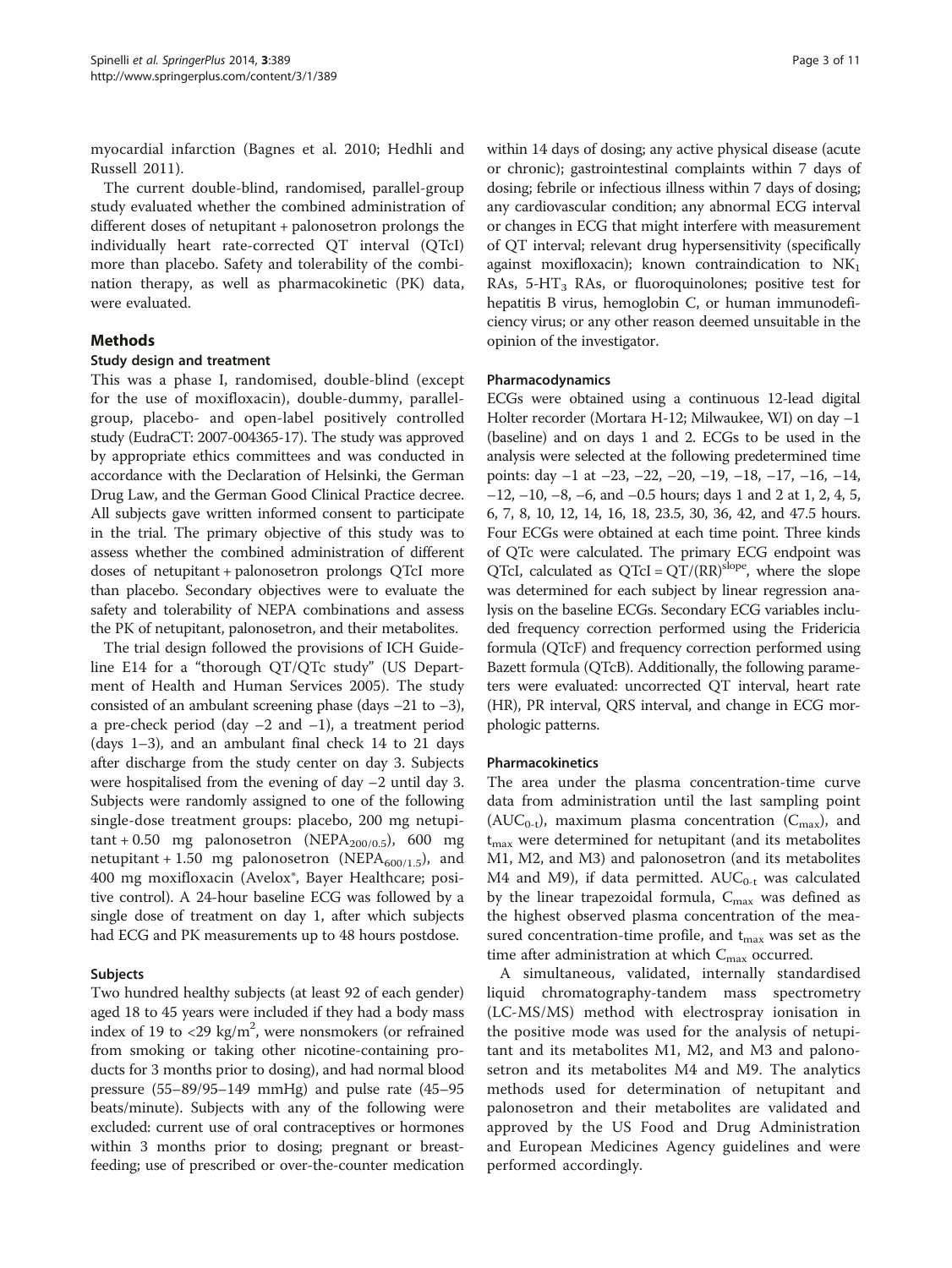myocardial infarction (Bagnes et al. [2010;](#page-9-0) Hedhli and Russell [2011\)](#page-10-0).

The current double-blind, randomised, parallel-group study evaluated whether the combined administration of different doses of netupitant + palonosetron prolongs the individually heart rate-corrected QT interval (QTcI) more than placebo. Safety and tolerability of the combination therapy, as well as pharmacokinetic (PK) data, were evaluated.

# Methods

## Study design and treatment

This was a phase I, randomised, double-blind (except for the use of moxifloxacin), double-dummy, parallelgroup, placebo- and open-label positively controlled study (EudraCT: 2007-004365-17). The study was approved by appropriate ethics committees and was conducted in accordance with the Declaration of Helsinki, the German Drug Law, and the German Good Clinical Practice decree. All subjects gave written informed consent to participate in the trial. The primary objective of this study was to assess whether the combined administration of different doses of netupitant + palonosetron prolongs QTcI more than placebo. Secondary objectives were to evaluate the safety and tolerability of NEPA combinations and assess the PK of netupitant, palonosetron, and their metabolites.

The trial design followed the provisions of ICH Guideline E14 for a "thorough QT/QTc study" (US Department of Health and Human Services [2005](#page-10-0)). The study consisted of an ambulant screening phase (days  $-21$  to  $-3$ ), a pre-check period (day  $-2$  and  $-1$ ), a treatment period (days 1–3), and an ambulant final check 14 to 21 days after discharge from the study center on day 3. Subjects were hospitalised from the evening of day –2 until day 3. Subjects were randomly assigned to one of the following single-dose treatment groups: placebo, 200 mg netupi $tant + 0.50$  mg palonosetron (NEPA<sub>200/0.5</sub>), 600 mg netupitant + 1.50 mg palonosetron (NEPA $_{600/1.5}$ ), and 400 mg moxifloxacin (Avelox®, Bayer Healthcare; positive control). A 24-hour baseline ECG was followed by a single dose of treatment on day 1, after which subjects had ECG and PK measurements up to 48 hours postdose.

# Subjects

Two hundred healthy subjects (at least 92 of each gender) aged 18 to 45 years were included if they had a body mass index of 19 to <29  $\text{kg/m}^2$ , were nonsmokers (or refrained from smoking or taking other nicotine-containing products for 3 months prior to dosing), and had normal blood pressure (55–89/95–149 mmHg) and pulse rate (45–95 beats/minute). Subjects with any of the following were excluded: current use of oral contraceptives or hormones within 3 months prior to dosing; pregnant or breastfeeding; use of prescribed or over-the-counter medication within 14 days of dosing; any active physical disease (acute or chronic); gastrointestinal complaints within 7 days of dosing; febrile or infectious illness within 7 days of dosing; any cardiovascular condition; any abnormal ECG interval or changes in ECG that might interfere with measurement of QT interval; relevant drug hypersensitivity (specifically against moxifloxacin); known contraindication to  $NK_1$ RAs, 5-HT<sub>3</sub> RAs, or fluoroquinolones; positive test for hepatitis B virus, hemoglobin C, or human immunodeficiency virus; or any other reason deemed unsuitable in the opinion of the investigator.

# Pharmacodynamics

ECGs were obtained using a continuous 12-lead digital Holter recorder (Mortara H-12; Milwaukee, WI) on day –1 (baseline) and on days 1 and 2. ECGs to be used in the analysis were selected at the following predetermined time points: day –1 at –23, –22, –20, –19, –18, –17, –16, –14,  $-12$ ,  $-10$ ,  $-8$ ,  $-6$ , and  $-0.5$  hours; days 1 and 2 at 1, 2, 4, 5, 6, 7, 8, 10, 12, 14, 16, 18, 23.5, 30, 36, 42, and 47.5 hours. Four ECGs were obtained at each time point. Three kinds of QTc were calculated. The primary ECG endpoint was QTcI, calculated as  $QTCI = QT/(RR)^{slope}$ , where the slope was determined for each subject by linear regression analysis on the baseline ECGs. Secondary ECG variables included frequency correction performed using the Fridericia formula (QTcF) and frequency correction performed using Bazett formula (QTcB). Additionally, the following parameters were evaluated: uncorrected QT interval, heart rate (HR), PR interval, QRS interval, and change in ECG morphologic patterns.

# Pharmacokinetics

The area under the plasma concentration-time curve data from administration until the last sampling point  $(AUC_{0-t})$ , maximum plasma concentration  $(C_{\text{max}})$ , and  $t_{\text{max}}$  were determined for netupitant (and its metabolites M1, M2, and M3) and palonosetron (and its metabolites M4 and M9), if data permitted.  $AUC_{0-t}$  was calculated by the linear trapezoidal formula,  $C_{\text{max}}$  was defined as the highest observed plasma concentration of the measured concentration-time profile, and  $t_{\text{max}}$  was set as the time after administration at which  $C_{\text{max}}$  occurred.

A simultaneous, validated, internally standardised liquid chromatography-tandem mass spectrometry (LC-MS/MS) method with electrospray ionisation in the positive mode was used for the analysis of netupitant and its metabolites M1, M2, and M3 and palonosetron and its metabolites M4 and M9. The analytics methods used for determination of netupitant and palonosetron and their metabolites are validated and approved by the US Food and Drug Administration and European Medicines Agency guidelines and were performed accordingly.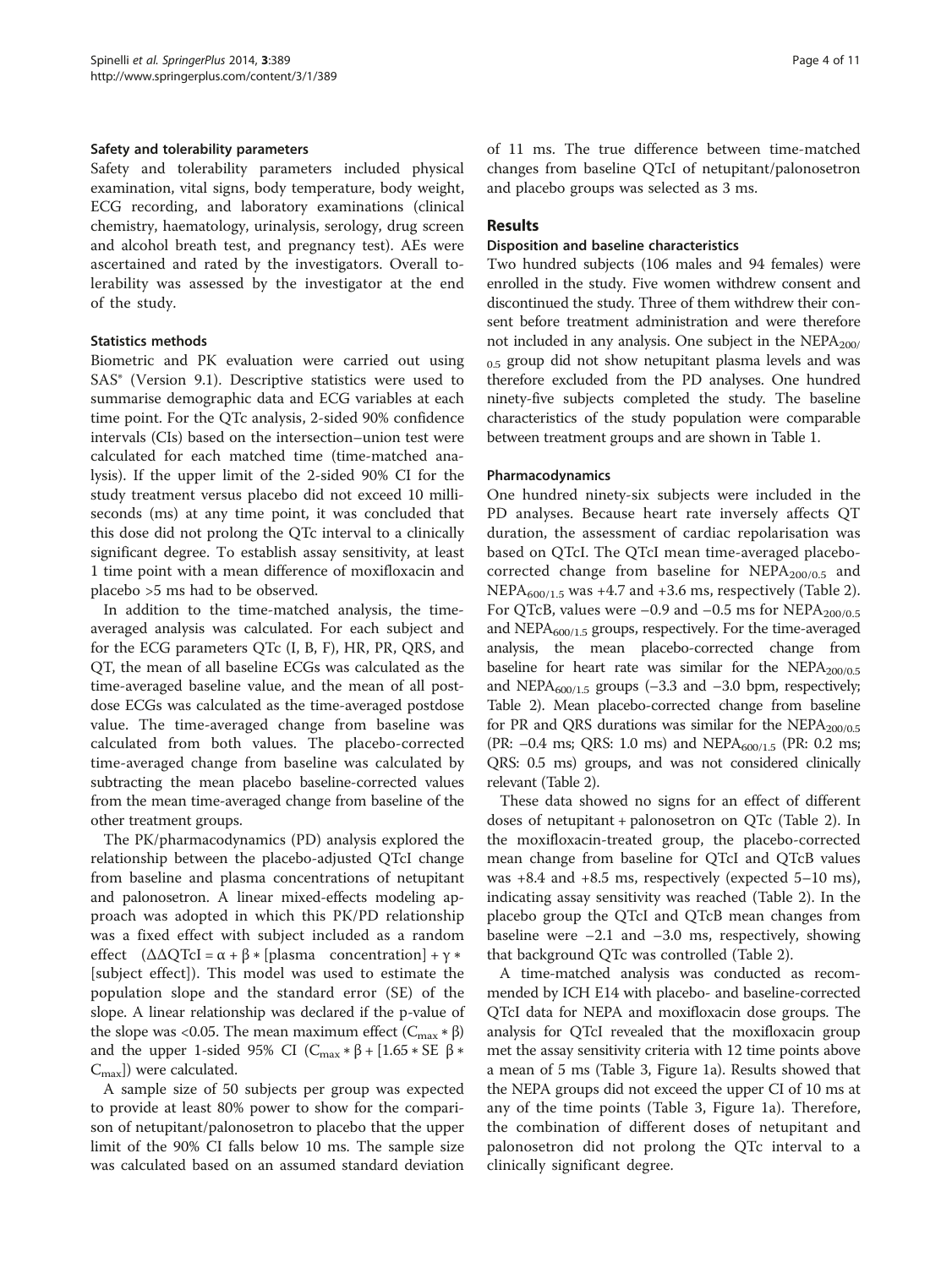#### Safety and tolerability parameters

Safety and tolerability parameters included physical examination, vital signs, body temperature, body weight, ECG recording, and laboratory examinations (clinical chemistry, haematology, urinalysis, serology, drug screen and alcohol breath test, and pregnancy test). AEs were ascertained and rated by the investigators. Overall tolerability was assessed by the investigator at the end of the study.

#### Statistics methods

Biometric and PK evaluation were carried out using SAS® (Version 9.1). Descriptive statistics were used to summarise demographic data and ECG variables at each time point. For the QTc analysis, 2-sided 90% confidence intervals (CIs) based on the intersection–union test were calculated for each matched time (time-matched analysis). If the upper limit of the 2-sided 90% CI for the study treatment versus placebo did not exceed 10 milliseconds (ms) at any time point, it was concluded that this dose did not prolong the QTc interval to a clinically significant degree. To establish assay sensitivity, at least 1 time point with a mean difference of moxifloxacin and placebo >5 ms had to be observed.

In addition to the time-matched analysis, the timeaveraged analysis was calculated. For each subject and for the ECG parameters QTc (I, B, F), HR, PR, QRS, and QT, the mean of all baseline ECGs was calculated as the time-averaged baseline value, and the mean of all postdose ECGs was calculated as the time-averaged postdose value. The time-averaged change from baseline was calculated from both values. The placebo-corrected time-averaged change from baseline was calculated by subtracting the mean placebo baseline-corrected values from the mean time-averaged change from baseline of the other treatment groups.

The PK/pharmacodynamics (PD) analysis explored the relationship between the placebo-adjusted QTcI change from baseline and plasma concentrations of netupitant and palonosetron. A linear mixed-effects modeling approach was adopted in which this PK/PD relationship was a fixed effect with subject included as a random effect  $(\Delta \Delta Q)$ cI =  $\alpha + \beta *$  [plasma concentration] + γ \* [subject effect]). This model was used to estimate the population slope and the standard error (SE) of the slope. A linear relationship was declared if the p-value of the slope was <0.05. The mean maximum effect ( $C_{\text{max}}$  \* β) and the upper 1-sided 95% CI ( $C_{\text{max}}$  \* β + [1.65 \* SE β \*  $C_{\text{max}}$ ) were calculated.

A sample size of 50 subjects per group was expected to provide at least 80% power to show for the comparison of netupitant/palonosetron to placebo that the upper limit of the 90% CI falls below 10 ms. The sample size was calculated based on an assumed standard deviation

of 11 ms. The true difference between time-matched changes from baseline QTcI of netupitant/palonosetron and placebo groups was selected as 3 ms.

## Results

#### Disposition and baseline characteristics

Two hundred subjects (106 males and 94 females) were enrolled in the study. Five women withdrew consent and discontinued the study. Three of them withdrew their consent before treatment administration and were therefore not included in any analysis. One subject in the  $NEPA_{200/2}$  $_{0.5}$  group did not show netupitant plasma levels and was therefore excluded from the PD analyses. One hundred ninety-five subjects completed the study. The baseline characteristics of the study population were comparable between treatment groups and are shown in Table [1](#page-4-0).

#### Pharmacodynamics

One hundred ninety-six subjects were included in the PD analyses. Because heart rate inversely affects QT duration, the assessment of cardiac repolarisation was based on QTcI. The QTcI mean time-averaged placebocorrected change from baseline for  $NEPA<sub>200/0.5</sub>$  and NEP $A_{600/1.5}$  was +4.7 and +3.6 ms, respectively (Table [2](#page-4-0)). For QTcB, values were  $-0.9$  and  $-0.5$  ms for NEPA<sub>200/0.5</sub> and NEP $A_{600/1.5}$  groups, respectively. For the time-averaged analysis, the mean placebo-corrected change from baseline for heart rate was similar for the  $NEPA_{200/0.5}$ and NEPA $_{600/1.5}$  groups (-3.3 and -3.0 bpm, respectively; Table [2\)](#page-4-0). Mean placebo-corrected change from baseline for PR and QRS durations was similar for the  $NEPA_{200/0.5}$ (PR:  $-0.4$  ms; QRS: 1.0 ms) and NEPA $_{600/1.5}$  (PR: 0.2 ms; QRS: 0.5 ms) groups, and was not considered clinically relevant (Table [2](#page-4-0)).

These data showed no signs for an effect of different doses of netupitant + palonosetron on QTc (Table [2\)](#page-4-0). In the moxifloxacin-treated group, the placebo-corrected mean change from baseline for QTcI and QTcB values was +8.4 and +8.5 ms, respectively (expected 5–10 ms), indicating assay sensitivity was reached (Table [2\)](#page-4-0). In the placebo group the QTcI and QTcB mean changes from baseline were  $-2.1$  and  $-3.0$  ms, respectively, showing that background QTc was controlled (Table [2](#page-4-0)).

A time-matched analysis was conducted as recommended by ICH E14 with placebo- and baseline-corrected QTcI data for NEPA and moxifloxacin dose groups. The analysis for QTcI revealed that the moxifloxacin group met the assay sensitivity criteria with 12 time points above a mean of 5 ms (Table [3,](#page-5-0) Figure [1](#page-7-0)a). Results showed that the NEPA groups did not exceed the upper CI of 10 ms at any of the time points (Table [3,](#page-5-0) Figure [1](#page-7-0)a). Therefore, the combination of different doses of netupitant and palonosetron did not prolong the QTc interval to a clinically significant degree.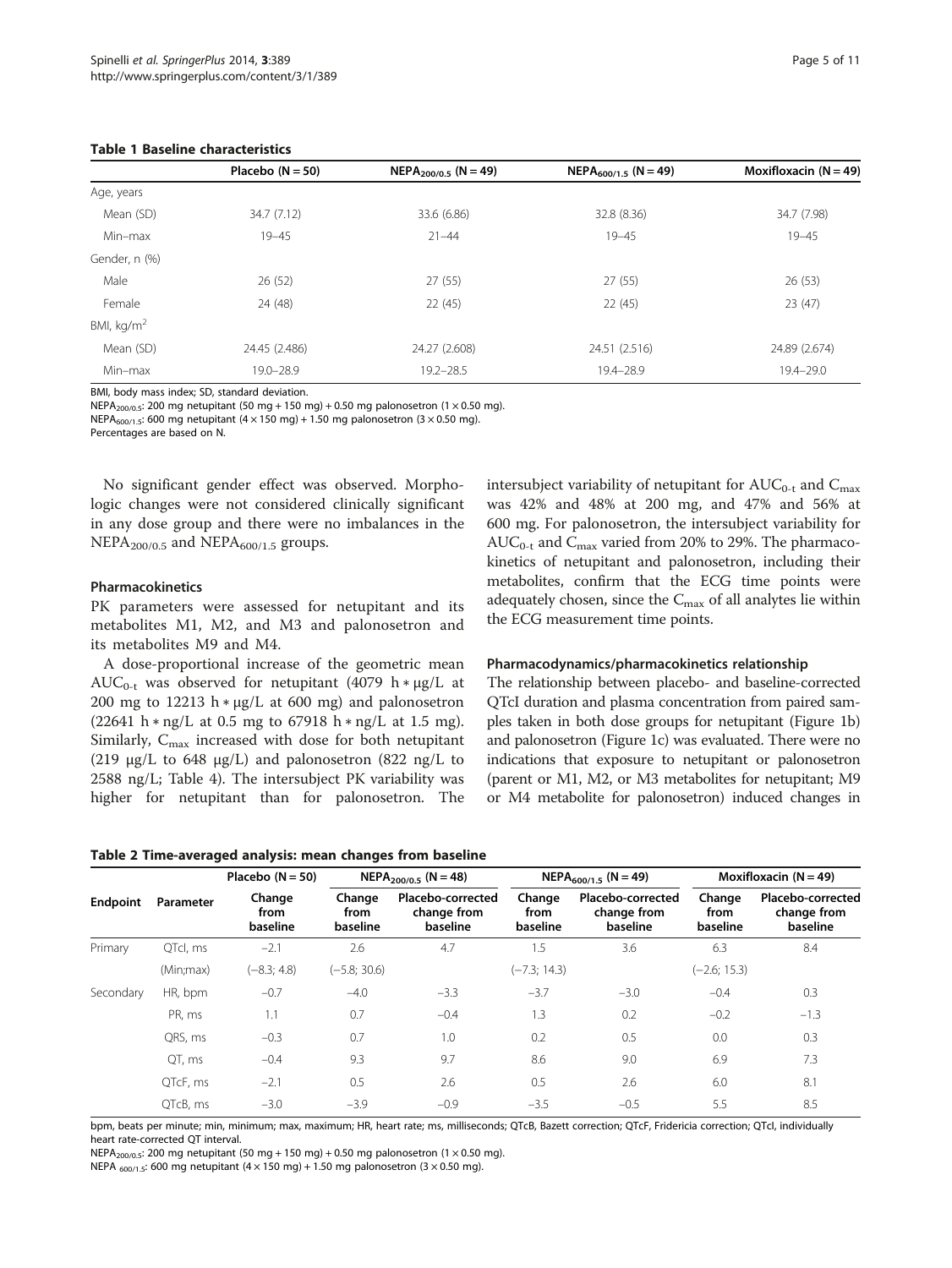|                        | Placebo $(N = 50)$ | $NEPA200/0.5$ (N = 49) | $NEPA_{600/1.5}$ (N = 49) | Moxifloxacin ( $N = 49$ ) |
|------------------------|--------------------|------------------------|---------------------------|---------------------------|
| Age, years             |                    |                        |                           |                           |
| Mean (SD)              | 34.7 (7.12)        | 33.6 (6.86)            | 32.8 (8.36)               | 34.7 (7.98)               |
| Min-max                | $19 - 45$          | $21 - 44$              | $19 - 45$                 | $19 - 45$                 |
| Gender, n (%)          |                    |                        |                           |                           |
| Male                   | 26(52)             | 27(55)                 | 27(55)                    | 26(53)                    |
| Female                 | 24 (48)            | 22(45)                 | 22(45)                    | 23(47)                    |
| BMI, kg/m <sup>2</sup> |                    |                        |                           |                           |
| Mean (SD)              | 24.45 (2.486)      | 24.27 (2.608)          | 24.51 (2.516)             | 24.89 (2.674)             |
| Min-max                | 19.0-28.9          | $19.2 - 28.5$          | 19.4-28.9                 | 19.4-29.0                 |

#### <span id="page-4-0"></span>Table 1 Baseline characteristics

BMI, body mass index; SD, standard deviation.

NEPA<sub>200/0.5</sub>: 200 mg netupitant (50 mg + 150 mg) + 0.50 mg palonosetron (1 × 0.50 mg).

NEPA<sub>600/1.5</sub>: 600 mg netupitant (4 × 150 mg) + 1.50 mg palonosetron (3 × 0.50 mg). Percentages are based on N.

No significant gender effect was observed. Morphologic changes were not considered clinically significant in any dose group and there were no imbalances in the  $NEPA<sub>200/0.5</sub>$  and  $NEPA<sub>600/1.5</sub>$  groups.

#### Pharmacokinetics

PK parameters were assessed for netupitant and its metabolites M1, M2, and M3 and palonosetron and its metabolites M9 and M4.

A dose-proportional increase of the geometric mean AUC<sub>0-t</sub> was observed for netupitant (4079 h \*  $\mu$ g/L at 200 mg to 12213 h  $* \mu g/L$  at 600 mg) and palonosetron (22641 h  $*$  ng/L at 0.5 mg to 67918 h  $*$  ng/L at 1.5 mg). Similarly,  $C_{\text{max}}$  increased with dose for both netupitant (219  $\mu$ g/L to 648  $\mu$ g/L) and palonosetron (822 ng/L to 2588 ng/L; Table [4\)](#page-7-0). The intersubject PK variability was higher for netupitant than for palonosetron. The

|  |  |  | Table 2 Time-averaged analysis: mean changes from baseline |  |  |
|--|--|--|------------------------------------------------------------|--|--|
|--|--|--|------------------------------------------------------------|--|--|

intersubject variability of netupitant for  $AUC_{0-t}$  and  $C_{\text{max}}$ was 42% and 48% at 200 mg, and 47% and 56% at 600 mg. For palonosetron, the intersubject variability for  $AUC_{0-t}$  and  $C_{\text{max}}$  varied from 20% to 29%. The pharmacokinetics of netupitant and palonosetron, including their metabolites, confirm that the ECG time points were adequately chosen, since the  $C_{\text{max}}$  of all analytes lie within the ECG measurement time points.

#### Pharmacodynamics/pharmacokinetics relationship

The relationship between placebo- and baseline-corrected QTcI duration and plasma concentration from paired samples taken in both dose groups for netupitant (Figure [1](#page-7-0)b) and palonosetron (Figure [1c](#page-7-0)) was evaluated. There were no indications that exposure to netupitant or palonosetron (parent or M1, M2, or M3 metabolites for netupitant; M9 or M4 metabolite for palonosetron) induced changes in

|           |           | Placebo $(N = 50)$         |                            | $NEPA200/0.5$ (N = 48)                       |                            | $NEPA600/1.5$ (N = 49)                       | Moxifloxacin $(N = 49)$    |                                              |
|-----------|-----------|----------------------------|----------------------------|----------------------------------------------|----------------------------|----------------------------------------------|----------------------------|----------------------------------------------|
| Endpoint  | Parameter | Change<br>from<br>baseline | Change<br>from<br>baseline | Placebo-corrected<br>change from<br>baseline | Change<br>from<br>baseline | Placebo-corrected<br>change from<br>baseline | Change<br>from<br>baseline | Placebo-corrected<br>change from<br>baseline |
| Primary   | QTcl, ms  | $-2.1$                     | 2.6                        | 4.7                                          | 1.5                        | 3.6                                          | 6.3                        | 8.4                                          |
|           | (Min;max) | $(-8.3; 4.8)$              | $(-5.8; 30.6)$             |                                              | $(-7.3; 14.3)$             |                                              | $(-2.6; 15.3)$             |                                              |
| Secondary | HR, bpm   | $-0.7$                     | $-4.0$                     | $-3.3$                                       | $-3.7$                     | $-3.0$                                       | $-0.4$                     | 0.3                                          |
|           | PR, ms    | 1.1                        | 0.7                        | $-0.4$                                       | 1.3                        | 0.2                                          | $-0.2$                     | $-1.3$                                       |
|           | ORS, ms   | $-0.3$                     | 0.7                        | 1.0                                          | 0.2                        | 0.5                                          | 0.0                        | 0.3                                          |
|           | QT, ms    | $-0.4$                     | 9.3                        | 9.7                                          | 8.6                        | 9.0                                          | 6.9                        | 7.3                                          |
|           | QTcF, ms  | $-2.1$                     | 0.5                        | 2.6                                          | 0.5                        | 2.6                                          | 6.0                        | 8.1                                          |
|           | QTcB, ms  | $-3.0$                     | $-3.9$                     | $-0.9$                                       | $-3.5$                     | $-0.5$                                       | 5.5                        | 8.5                                          |

bpm, beats per minute; min, minimum; max, maximum; HR, heart rate; ms, milliseconds; QTcB, Bazett correction; QTcF, Fridericia correction; QTcI, individually heart rate-corrected QT interval.

NEPA<sub>200/0.5</sub>: 200 mg netupitant (50 mg + 150 mg) + 0.50 mg palonosetron (1 × 0.50 mg).

NEPA  $_{600/1.5}$ : 600 mg netupitant (4 × 150 mg) + 1.50 mg palonosetron (3 × 0.50 mg).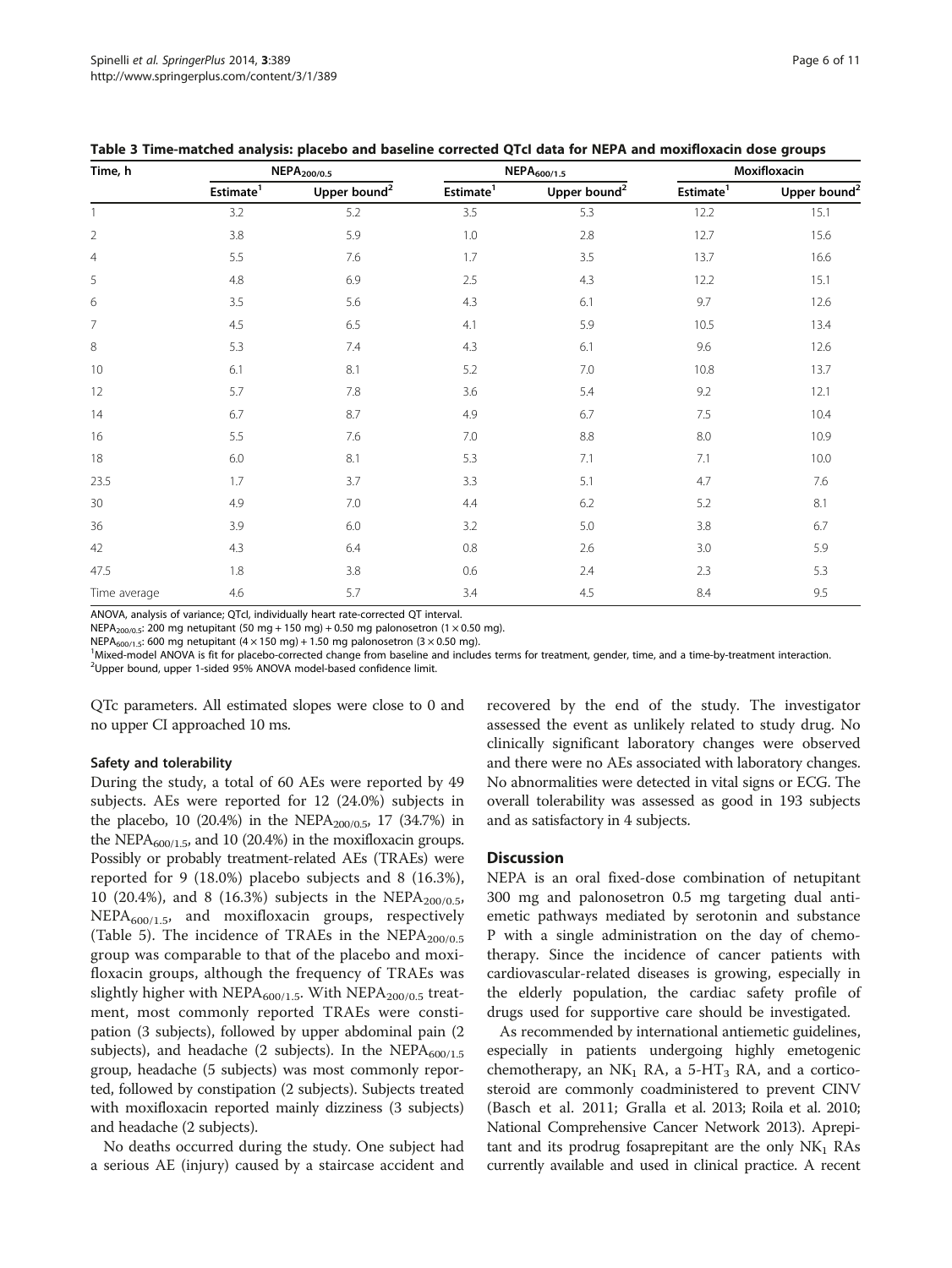| Time, h        | $\mathsf{NEPA}_{200/0.5}$          |                          |                                    | $\mathsf{NEPA}_{600/1.5}$ | Moxifloxacin          |                          |  |
|----------------|------------------------------------|--------------------------|------------------------------------|---------------------------|-----------------------|--------------------------|--|
|                | $\ensuremath{\mathsf{Estimate}}^1$ | Upper bound <sup>2</sup> | $\ensuremath{\mathsf{Estimate}}^1$ | Upper bound <sup>2</sup>  | Estimate <sup>1</sup> | Upper bound <sup>2</sup> |  |
|                | 3.2                                | $5.2\,$                  | 3.5                                | 5.3                       | 12.2                  | 15.1                     |  |
| $\overline{2}$ | 3.8                                | 5.9                      | 1.0                                | 2.8                       | 12.7                  | 15.6                     |  |
| $\overline{4}$ | 5.5                                | 7.6                      | 1.7                                | 3.5                       | 13.7                  | 16.6                     |  |
| 5              | 4.8                                | 6.9                      | 2.5                                | 4.3                       | 12.2                  | 15.1                     |  |
| 6              | 3.5                                | 5.6                      | 4.3                                | 6.1                       | 9.7                   | 12.6                     |  |
| $\overline{7}$ | 4.5                                | 6.5                      | 4.1                                | 5.9                       | 10.5                  | 13.4                     |  |
| 8              | 5.3                                | 7.4                      | 4.3                                | 6.1                       | 9.6                   | 12.6                     |  |
| 10             | 6.1                                | 8.1                      | 5.2                                | 7.0                       | 10.8                  | 13.7                     |  |
| 12             | 5.7                                | 7.8                      | 3.6                                | 5.4                       | 9.2                   | 12.1                     |  |
| 14             | 6.7                                | 8.7                      | 4.9                                | 6.7                       | 7.5                   | 10.4                     |  |
| 16             | 5.5                                | 7.6                      | 7.0                                | 8.8                       | 8.0                   | 10.9                     |  |
| 18             | 6.0                                | 8.1                      | 5.3                                | 7.1                       | 7.1                   | 10.0                     |  |
| 23.5           | 1.7                                | 3.7                      | 3.3                                | 5.1                       | 4.7                   | 7.6                      |  |
| 30             | 4.9                                | 7.0                      | 4.4                                | 6.2                       | 5.2                   | 8.1                      |  |
| 36             | 3.9                                | $6.0\,$                  | 3.2                                | 5.0                       | 3.8                   | 6.7                      |  |
| 42             | 4.3                                | 6.4                      | 0.8                                | 2.6                       | 3.0                   | 5.9                      |  |
| 47.5           | 1.8                                | 3.8                      | 0.6                                | 2.4                       | 2.3                   | 5.3                      |  |
| Time average   | 4.6                                | 5.7                      | 3.4                                | 4.5                       | 8.4                   | 9.5                      |  |

<span id="page-5-0"></span>Table 3 Time-matched analysis: placebo and baseline corrected QTcI data for NEPA and moxifloxacin dose groups

ANOVA, analysis of variance; QTcI, individually heart rate-corrected QT interval.

NEPA<sub>200/0.5</sub>: 200 mg netupitant (50 mg + 150 mg) + 0.50 mg palonosetron (1 × 0.50 mg).

NEPA<sub>600/1.5</sub>: 600 mg netupitant (4 × 150 mg) + 1.50 mg palonosetron (3 × 0.50 mg).

<sup>1</sup>Mixed-model ANOVA is fit for placebo-corrected change from baseline and includes terms for treatment, gender, time, and a time-by-treatment interaction. <sup>2</sup>Upper bound, upper 1-sided 95% ANOVA model-based confidence limit.

QTc parameters. All estimated slopes were close to 0 and no upper CI approached 10 ms.

#### Safety and tolerability

During the study, a total of 60 AEs were reported by 49 subjects. AEs were reported for 12 (24.0%) subjects in the placebo, 10 (20.4%) in the NEPA<sub>200/0.5</sub>, 17 (34.7%) in the NEPA $_{600/1.5}$ , and 10 (20.4%) in the moxifloxacin groups. Possibly or probably treatment-related AEs (TRAEs) were reported for 9 (18.0%) placebo subjects and 8 (16.3%), 10 (20.4%), and 8 (16.3%) subjects in the NEPA<sub>200/0.5</sub>,  $NEPA<sub>600/1.5</sub>$ , and moxifloxacin groups, respectively (Table [5\)](#page-8-0). The incidence of TRAEs in the  $NEPA_{200/0.5}$ group was comparable to that of the placebo and moxifloxacin groups, although the frequency of TRAEs was slightly higher with NEPA $_{600/1.5}$ . With NEPA $_{200/0.5}$  treatment, most commonly reported TRAEs were constipation (3 subjects), followed by upper abdominal pain (2 subjects), and headache (2 subjects). In the NEPA $_{600/1.5}$ group, headache (5 subjects) was most commonly reported, followed by constipation (2 subjects). Subjects treated with moxifloxacin reported mainly dizziness (3 subjects) and headache (2 subjects).

No deaths occurred during the study. One subject had a serious AE (injury) caused by a staircase accident and

recovered by the end of the study. The investigator assessed the event as unlikely related to study drug. No clinically significant laboratory changes were observed and there were no AEs associated with laboratory changes. No abnormalities were detected in vital signs or ECG. The overall tolerability was assessed as good in 193 subjects and as satisfactory in 4 subjects.

# **Discussion**

NEPA is an oral fixed-dose combination of netupitant 300 mg and palonosetron 0.5 mg targeting dual antiemetic pathways mediated by serotonin and substance P with a single administration on the day of chemotherapy. Since the incidence of cancer patients with cardiovascular-related diseases is growing, especially in the elderly population, the cardiac safety profile of drugs used for supportive care should be investigated.

As recommended by international antiemetic guidelines, especially in patients undergoing highly emetogenic chemotherapy, an  $NK_1$  RA, a 5-HT<sub>3</sub> RA, and a corticosteroid are commonly coadministered to prevent CINV (Basch et al. [2011](#page-9-0); Gralla et al. [2013;](#page-10-0) Roila et al. [2010](#page-10-0); National Comprehensive Cancer Network [2013\)](#page-10-0). Aprepitant and its prodrug fosaprepitant are the only  $NK_1$  RAs currently available and used in clinical practice. A recent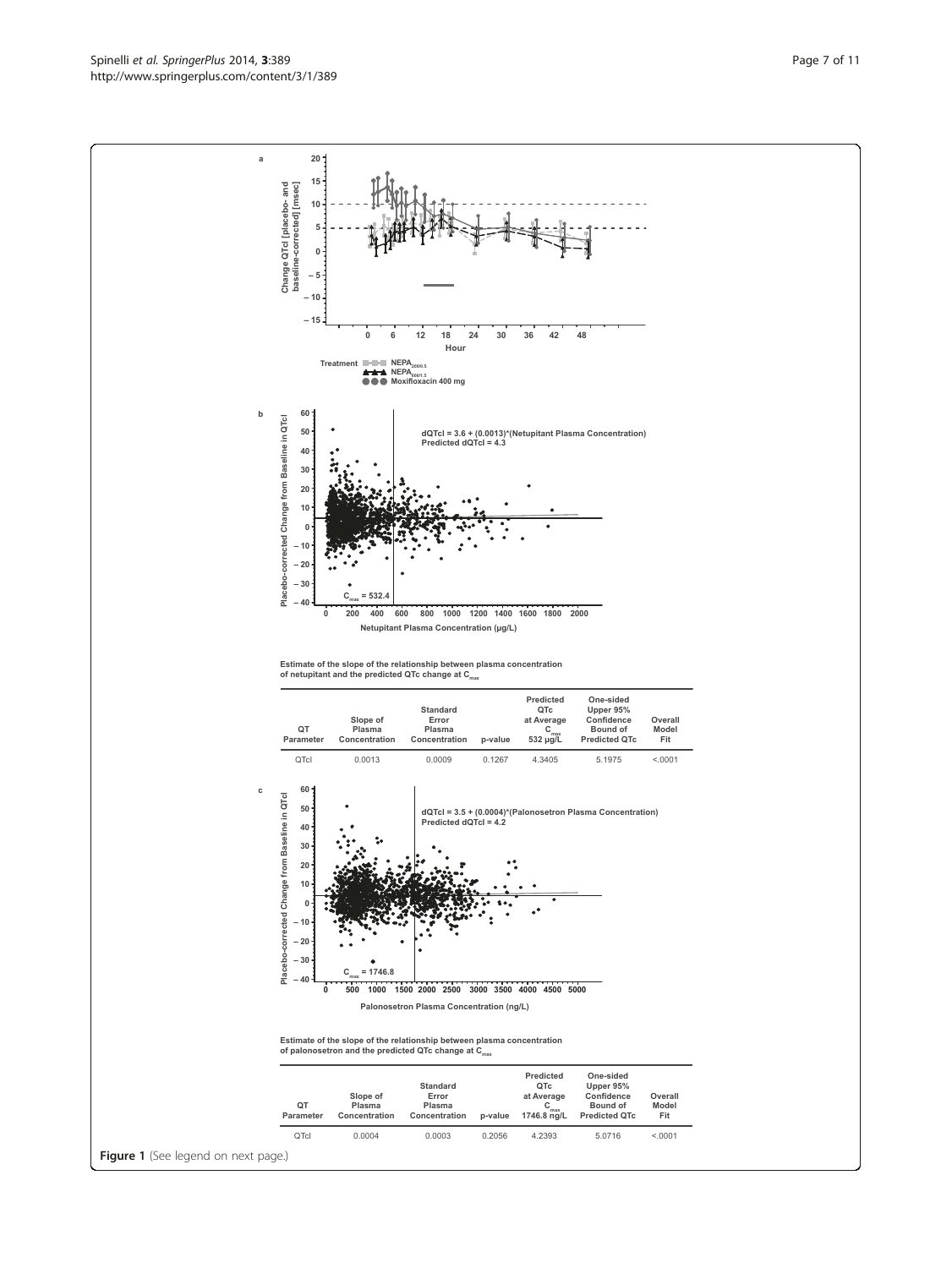**Estimate of the slope of the relationship between plasma concentration of netupitant and the predicted QTc change at Cmax**

| QT<br>Parameter | Slope of<br>Plasma<br>Concentration | Standard<br>Error<br>Plasma<br>Concentration | p-value | Predicted<br>QTc<br>at Average<br>$C_{\text{max}}$<br>532 µg/L | One-sided<br>Upper 95%<br>Confidence<br>Bound of<br><b>Predicted QTc</b> | Overall<br>Model<br>Fit |  |
|-----------------|-------------------------------------|----------------------------------------------|---------|----------------------------------------------------------------|--------------------------------------------------------------------------|-------------------------|--|
| QTcl            | 0.0013                              | 0.0009                                       | 0.1267  | 4.3405                                                         | 5.1975                                                                   | < 0.0001                |  |



**Palonosetron Plasma Concentration (ng/L)**

**Estimate of the slope of the relationship between plasma concentration of palonosetron and the predicted QTc change at Cmax**

|                                            | QT<br>Parameter | Slope of<br>Plasma<br>Concentration | <b>Standard</b><br>Error<br>Plasma<br>Concentration | p-value | Predicted<br>QTc<br>at Average<br>c.<br>max<br>1746.8 na/L | One-sided<br>Upper 95%<br>Confidence<br>Bound of<br><b>Predicted QTc</b> | Overall<br>Model<br>Fit |
|--------------------------------------------|-----------------|-------------------------------------|-----------------------------------------------------|---------|------------------------------------------------------------|--------------------------------------------------------------------------|-------------------------|
|                                            | QTcl            | 0.0004                              | 0.0003                                              | 0.2056  | 4.2393                                                     | 5.0716                                                                   | < 0001                  |
| <b>Figure 1</b> (See legend on next page.) |                 |                                     |                                                     |         |                                                            |                                                                          |                         |



**c**

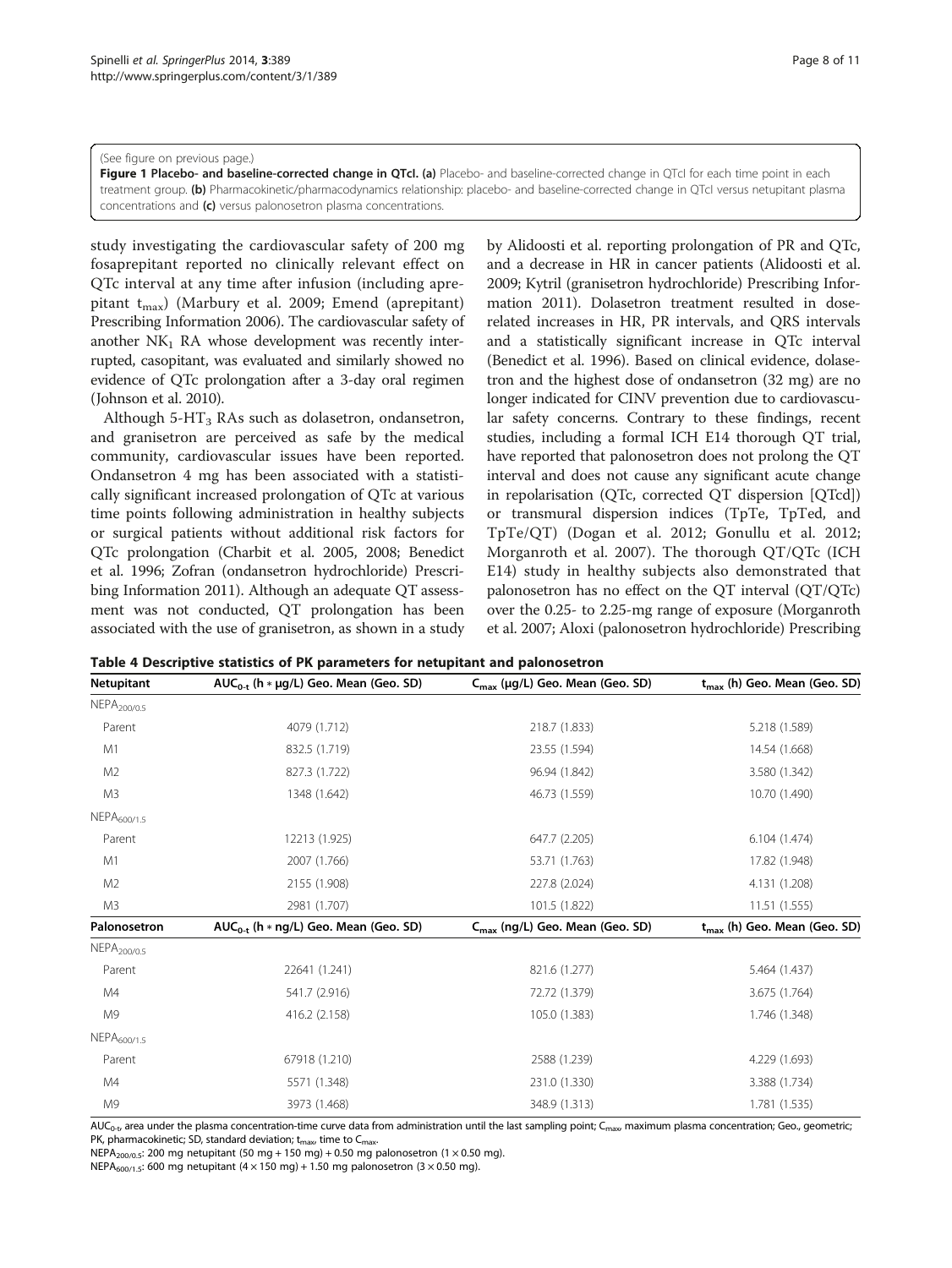#### <span id="page-7-0"></span>(See figure on previous page.)

Figure 1 Placebo- and baseline-corrected change in QTcI. (a) Placebo- and baseline-corrected change in QTcI for each time point in each treatment group. (b) Pharmacokinetic/pharmacodynamics relationship: placebo- and baseline-corrected change in QTcI versus netupitant plasma concentrations and (c) versus palonosetron plasma concentrations.

study investigating the cardiovascular safety of 200 mg fosaprepitant reported no clinically relevant effect on QTc interval at any time after infusion (including aprepitant  $t_{\text{max}}$ ) (Marbury et al. [2009;](#page-10-0) Emend (aprepitant) Prescribing Information [2006\)](#page-9-0). The cardiovascular safety of another  $NK_1$  RA whose development was recently interrupted, casopitant, was evaluated and similarly showed no evidence of QTc prolongation after a 3-day oral regimen (Johnson et al. [2010](#page-10-0)).

Although  $5-HT<sub>3</sub>$  RAs such as dolasetron, ondansetron, and granisetron are perceived as safe by the medical community, cardiovascular issues have been reported. Ondansetron 4 mg has been associated with a statistically significant increased prolongation of QTc at various time points following administration in healthy subjects or surgical patients without additional risk factors for QTc prolongation (Charbit et al. [2005](#page-9-0), [2008](#page-9-0); Benedict et al. [1996;](#page-9-0) Zofran (ondansetron hydrochloride) Prescribing Information [2011](#page-10-0)). Although an adequate QT assessment was not conducted, QT prolongation has been associated with the use of granisetron, as shown in a study

by Alidoosti et al. reporting prolongation of PR and QTc, and a decrease in HR in cancer patients (Alidoosti et al. [2009;](#page-9-0) Kytril (granisetron hydrochloride) Prescribing Information [2011](#page-10-0)). Dolasetron treatment resulted in doserelated increases in HR, PR intervals, and QRS intervals and a statistically significant increase in QTc interval (Benedict et al. [1996\)](#page-9-0). Based on clinical evidence, dolasetron and the highest dose of ondansetron (32 mg) are no longer indicated for CINV prevention due to cardiovascular safety concerns. Contrary to these findings, recent studies, including a formal ICH E14 thorough QT trial, have reported that palonosetron does not prolong the QT interval and does not cause any significant acute change in repolarisation (QTc, corrected QT dispersion [QTcd]) or transmural dispersion indices (TpTe, TpTed, and TpTe/QT) (Dogan et al. [2012;](#page-9-0) Gonullu et al. [2012](#page-9-0); Morganroth et al. [2007\)](#page-10-0). The thorough QT/QTc (ICH E14) study in healthy subjects also demonstrated that palonosetron has no effect on the QT interval (QT/QTc) over the 0.25- to 2.25-mg range of exposure (Morganroth et al. [2007](#page-10-0); Aloxi (palonosetron hydrochloride) Prescribing

Table 4 Descriptive statistics of PK parameters for netupitant and palonosetron

| Netupitant              | $AUC_{0-t}$ (h $* \mu g/L$ ) Geo. Mean (Geo. SD) | $C_{\text{max}}$ (µg/L) Geo. Mean (Geo. SD) | t <sub>max</sub> (h) Geo. Mean (Geo. SD) |
|-------------------------|--------------------------------------------------|---------------------------------------------|------------------------------------------|
| NEPA <sub>200/0.5</sub> |                                                  |                                             |                                          |
| Parent                  | 4079 (1.712)                                     | 218.7 (1.833)                               | 5.218 (1.589)                            |
| M1                      | 832.5 (1.719)                                    | 23.55 (1.594)                               | 14.54 (1.668)                            |
| M <sub>2</sub>          | 827.3 (1.722)                                    | 96.94 (1.842)                               | 3.580 (1.342)                            |
| M3                      | 1348 (1.642)                                     | 46.73 (1.559)                               | 10.70 (1.490)                            |
| NEPA <sub>600/15</sub>  |                                                  |                                             |                                          |
| Parent                  | 12213 (1.925)                                    | 647.7 (2.205)                               | 6.104(1.474)                             |
| M1                      | 2007 (1.766)                                     | 53.71 (1.763)                               | 17.82 (1.948)                            |
| M <sub>2</sub>          | 2155 (1.908)                                     | 227.8 (2.024)                               | 4.131 (1.208)                            |
| M <sup>3</sup>          | 2981 (1.707)                                     | 101.5 (1.822)                               | 11.51 (1.555)                            |
| Palonosetron            | $AUC_{0-t}$ (h $*$ ng/L) Geo. Mean (Geo. SD)     | C <sub>max</sub> (ng/L) Geo. Mean (Geo. SD) | t <sub>max</sub> (h) Geo. Mean (Geo. SD) |
| NEPA <sub>200/05</sub>  |                                                  |                                             |                                          |
| Parent                  | 22641 (1.241)                                    | 821.6 (1.277)                               | 5.464 (1.437)                            |
| M4                      | 541.7 (2.916)                                    | 72.72 (1.379)                               | 3.675 (1.764)                            |
| M9                      | 416.2 (2.158)                                    | 105.0 (1.383)                               | 1.746 (1.348)                            |
| NEPA <sub>600/1.5</sub> |                                                  |                                             |                                          |
| Parent                  | 67918 (1.210)                                    | 2588 (1.239)                                | 4.229 (1.693)                            |
| M4                      | 5571 (1.348)                                     | 231.0 (1.330)                               | 3.388 (1.734)                            |
| M9                      | 3973 (1.468)                                     | 348.9 (1.313)                               | 1.781 (1.535)                            |

 $AUC_{0-v}$  area under the plasma concentration-time curve data from administration until the last sampling point; C<sub>max</sub>, maximum plasma concentration; Geo., geometric; PK, pharmacokinetic; SD, standard deviation;  $t_{\text{max}}$  time to  $C_{\text{max}}$ 

NEPA<sub>200/0.5</sub>: 200 mg netupitant (50 mg + 150 mg) + 0.50 mg palonosetron (1 × 0.50 mg).

NEPA<sub>600/1.5</sub>: 600 mg netupitant (4 × 150 mg) + 1.50 mg palonosetron (3 × 0.50 mg).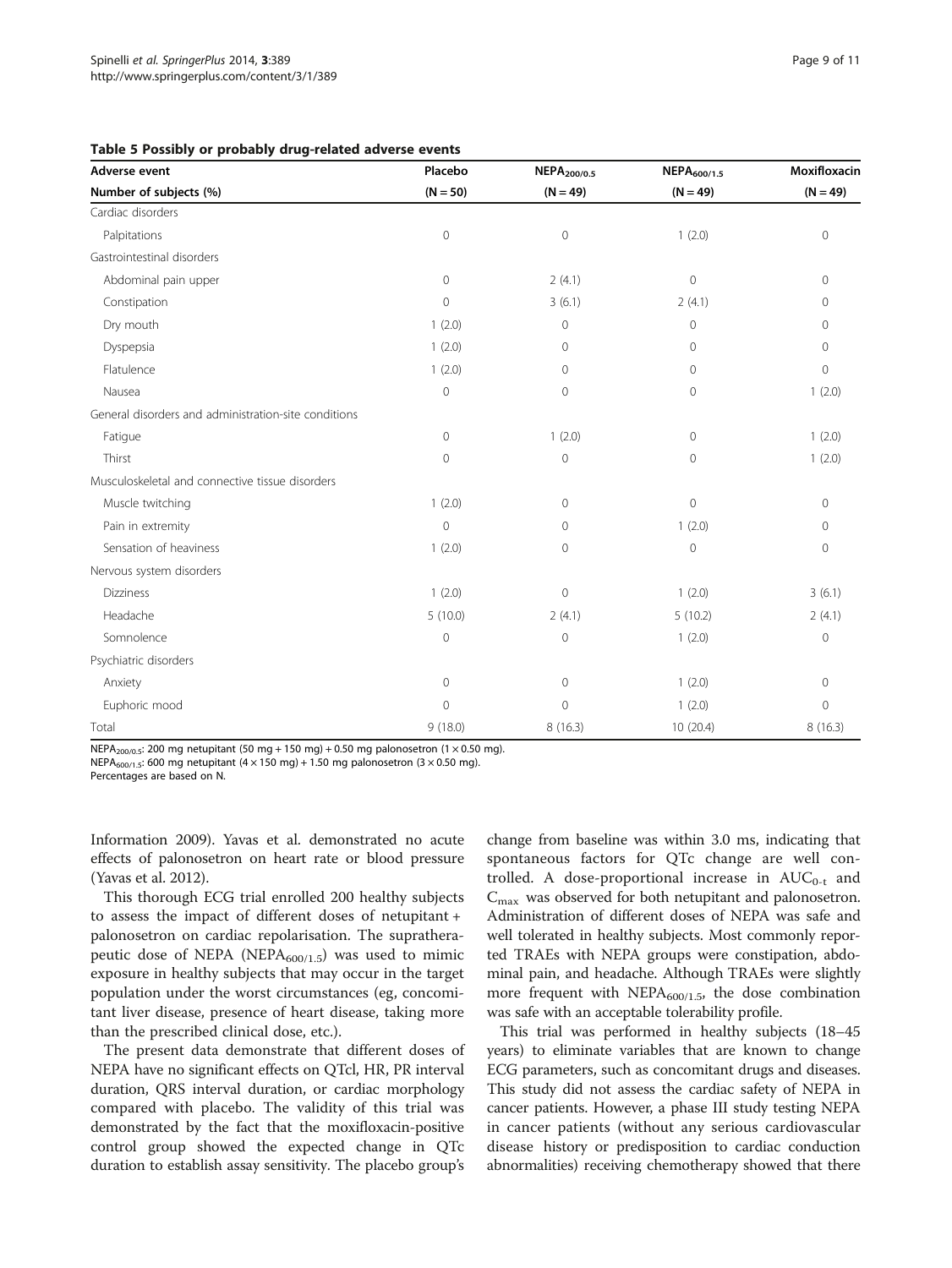<span id="page-8-0"></span>

| Table 5 Possibly or probably drug-related adverse events |  |  |
|----------------------------------------------------------|--|--|
|----------------------------------------------------------|--|--|

| Adverse event                                        | Placebo      | <b>NEPA<sub>200/0.5</sub></b> | $NEPA_{600/1.5}$ | Moxifloxacin |
|------------------------------------------------------|--------------|-------------------------------|------------------|--------------|
| Number of subjects (%)                               | $(N = 50)$   | $(N = 49)$                    | $(N = 49)$       | $(N = 49)$   |
| Cardiac disorders                                    |              |                               |                  |              |
| Palpitations                                         | $\mathbf 0$  | $\mathbf 0$                   | 1(2.0)           | $\mathbf 0$  |
| Gastrointestinal disorders                           |              |                               |                  |              |
| Abdominal pain upper                                 | $\mathbf 0$  | 2(4.1)                        | $\mathbf{0}$     | 0            |
| Constipation                                         | $\mathbf{0}$ | 3(6.1)                        | 2(4.1)           | $\Omega$     |
| Dry mouth                                            | 1(2.0)       | $\mathbf 0$                   | $\overline{0}$   | $\Omega$     |
| Dyspepsia                                            | 1(2.0)       | 0                             | $\mathbf 0$      | 0            |
| Flatulence                                           | 1(2.0)       | 0                             | $\mathbf{0}$     | $\Omega$     |
| Nausea                                               | $\mathbf{O}$ | 0                             | 0                | 1(2.0)       |
| General disorders and administration-site conditions |              |                               |                  |              |
| Fatigue                                              | $\mathbf 0$  | 1(2.0)                        | $\mathbf 0$      | 1(2.0)       |
| Thirst                                               | $\mathbf{0}$ | $\mathbf 0$                   | $\mathbf 0$      | 1(2.0)       |
| Musculoskeletal and connective tissue disorders      |              |                               |                  |              |
| Muscle twitching                                     | 1(2.0)       | 0                             | $\mathbf 0$      | $\circ$      |
| Pain in extremity                                    | $\mathbf{0}$ | 0                             | 1(2.0)           | $\Omega$     |
| Sensation of heaviness                               | 1(2.0)       | 0                             | $\mathbf 0$      | $\mathbf{0}$ |
| Nervous system disorders                             |              |                               |                  |              |
| Dizziness                                            | 1(2.0)       | $\mathbf 0$                   | 1(2.0)           | 3(6.1)       |
| Headache                                             | 5(10.0)      | 2(4.1)                        | 5(10.2)          | 2(4.1)       |
| Somnolence                                           | $\mathbf 0$  | $\mathbf 0$                   | 1(2.0)           | $\mathbf 0$  |
| Psychiatric disorders                                |              |                               |                  |              |
| Anxiety                                              | $\mathbf 0$  | 0                             | 1(2.0)           | $\circ$      |
| Euphoric mood                                        | $\mathbf{0}$ | $\mathbf{0}$                  | 1(2.0)           | $\mathbf{0}$ |
| Total                                                | 9(18.0)      | 8(16.3)                       | 10 (20.4)        | 8(16.3)      |

NEPA<sub>200/0.5</sub>: 200 mg netupitant (50 mg + 150 mg) + 0.50 mg palonosetron (1 × 0.50 mg).

NEPA<sub>600/1.5</sub>: 600 mg netupitant (4 × 150 mg) + 1.50 mg palonosetron (3 × 0.50 mg).

Percentages are based on N.

Information [2009](#page-9-0)). Yavas et al. demonstrated no acute effects of palonosetron on heart rate or blood pressure (Yavas et al. [2012\)](#page-10-0).

This thorough ECG trial enrolled 200 healthy subjects to assess the impact of different doses of netupitant + palonosetron on cardiac repolarisation. The supratherapeutic dose of NEPA (NEPA $_{600/1.5}$ ) was used to mimic exposure in healthy subjects that may occur in the target population under the worst circumstances (eg, concomitant liver disease, presence of heart disease, taking more than the prescribed clinical dose, etc.).

The present data demonstrate that different doses of NEPA have no significant effects on QTcl, HR, PR interval duration, QRS interval duration, or cardiac morphology compared with placebo. The validity of this trial was demonstrated by the fact that the moxifloxacin-positive control group showed the expected change in QTc duration to establish assay sensitivity. The placebo group's

change from baseline was within 3.0 ms, indicating that spontaneous factors for QTc change are well controlled. A dose-proportional increase in  $AUC_{0-t}$  and  $C_{\text{max}}$  was observed for both netupitant and palonosetron. Administration of different doses of NEPA was safe and well tolerated in healthy subjects. Most commonly reported TRAEs with NEPA groups were constipation, abdominal pain, and headache. Although TRAEs were slightly more frequent with NEP $A_{600/1.5}$ , the dose combination was safe with an acceptable tolerability profile.

This trial was performed in healthy subjects (18–45 years) to eliminate variables that are known to change ECG parameters, such as concomitant drugs and diseases. This study did not assess the cardiac safety of NEPA in cancer patients. However, a phase III study testing NEPA in cancer patients (without any serious cardiovascular disease history or predisposition to cardiac conduction abnormalities) receiving chemotherapy showed that there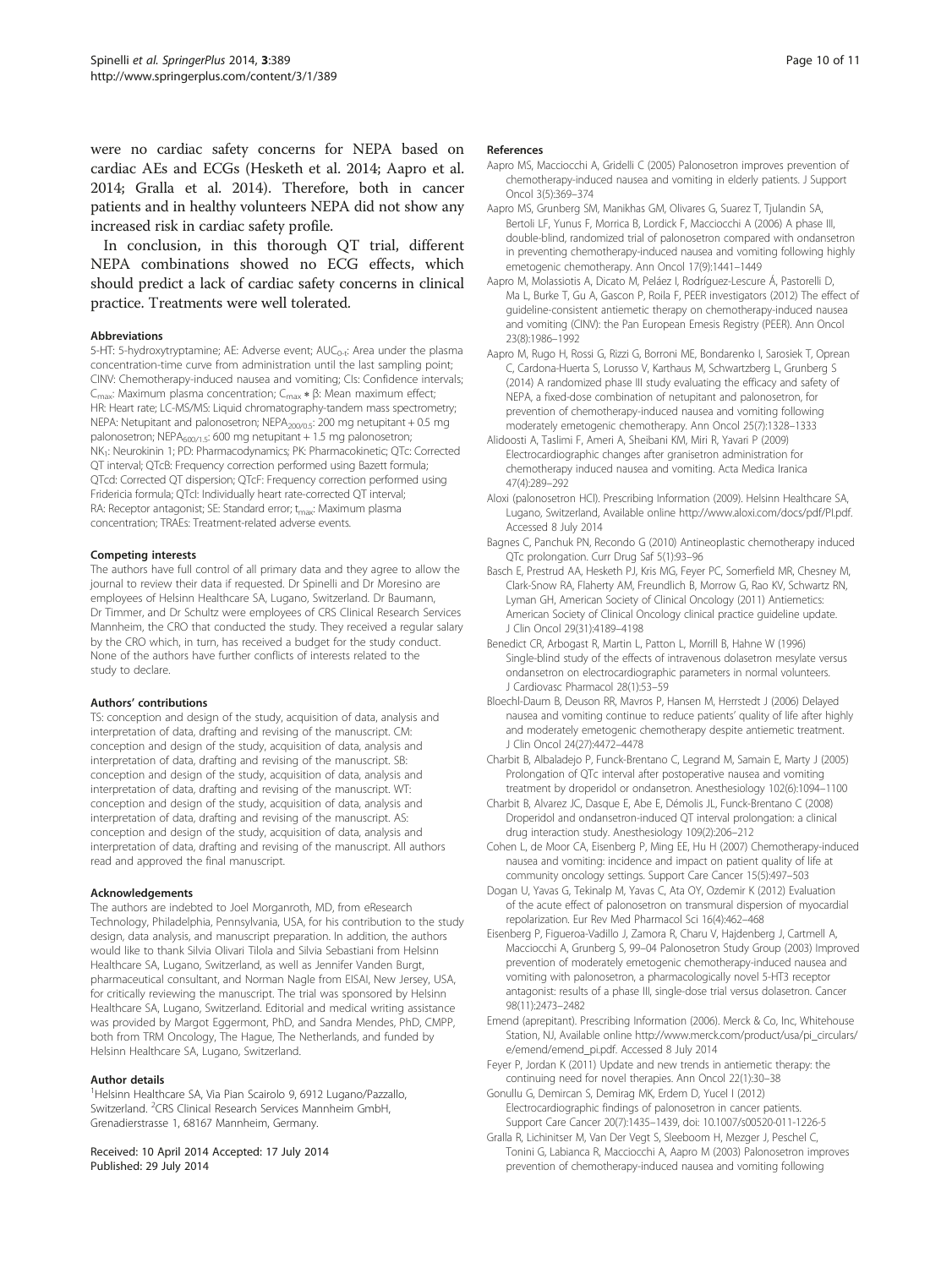<span id="page-9-0"></span>were no cardiac safety concerns for NEPA based on cardiac AEs and ECGs (Hesketh et al. [2014](#page-10-0); Aapro et al. 2014; Gralla et al. [2014\)](#page-10-0). Therefore, both in cancer patients and in healthy volunteers NEPA did not show any increased risk in cardiac safety profile.

In conclusion, in this thorough QT trial, different NEPA combinations showed no ECG effects, which should predict a lack of cardiac safety concerns in clinical practice. Treatments were well tolerated.

#### Abbreviations

5-HT: 5-hydroxytryptamine; AE: Adverse event; AUC<sub>0-t</sub>: Area under the plasma concentration-time curve from administration until the last sampling point; CINV: Chemotherapy-induced nausea and vomiting; CIs: Confidence intervals;  $C_{\text{max}}$ : Maximum plasma concentration;  $C_{\text{max}} * \beta$ : Mean maximum effect; HR: Heart rate; LC-MS/MS: Liquid chromatography-tandem mass spectrometry; NEPA: Netupitant and palonosetron; NEPA<sub>200/05</sub>: 200 mg netupitant + 0.5 mg palonosetron; NEPA<sub>600/1.5</sub>: 600 mg netupitant + 1.5 mg palonosetron; NK1: Neurokinin 1; PD: Pharmacodynamics; PK: Pharmacokinetic; QTc: Corrected QT interval; QTcB: Frequency correction performed using Bazett formula; QTcd: Corrected QT dispersion; QTcF: Frequency correction performed using Fridericia formula; QTcI: Individually heart rate-corrected QT interval; RA: Receptor antagonist; SE: Standard error; t<sub>max</sub>: Maximum plasma concentration; TRAEs: Treatment-related adverse events.

#### Competing interests

The authors have full control of all primary data and they agree to allow the journal to review their data if requested. Dr Spinelli and Dr Moresino are employees of Helsinn Healthcare SA, Lugano, Switzerland. Dr Baumann, Dr Timmer, and Dr Schultz were employees of CRS Clinical Research Services Mannheim, the CRO that conducted the study. They received a regular salary by the CRO which, in turn, has received a budget for the study conduct. None of the authors have further conflicts of interests related to the study to declare.

#### Authors' contributions

TS: conception and design of the study, acquisition of data, analysis and interpretation of data, drafting and revising of the manuscript. CM: conception and design of the study, acquisition of data, analysis and interpretation of data, drafting and revising of the manuscript. SB: conception and design of the study, acquisition of data, analysis and interpretation of data, drafting and revising of the manuscript. WT: conception and design of the study, acquisition of data, analysis and interpretation of data, drafting and revising of the manuscript. AS: conception and design of the study, acquisition of data, analysis and interpretation of data, drafting and revising of the manuscript. All authors read and approved the final manuscript.

#### Acknowledgements

The authors are indebted to Joel Morganroth, MD, from eResearch Technology, Philadelphia, Pennsylvania, USA, for his contribution to the study design, data analysis, and manuscript preparation. In addition, the authors would like to thank Silvia Olivari Tilola and Silvia Sebastiani from Helsinn Healthcare SA, Lugano, Switzerland, as well as Jennifer Vanden Burgt, pharmaceutical consultant, and Norman Nagle from EISAI, New Jersey, USA, for critically reviewing the manuscript. The trial was sponsored by Helsinn Healthcare SA, Lugano, Switzerland. Editorial and medical writing assistance was provided by Margot Eggermont, PhD, and Sandra Mendes, PhD, CMPP, both from TRM Oncology, The Hague, The Netherlands, and funded by Helsinn Healthcare SA, Lugano, Switzerland.

#### Author details

<sup>1</sup>Helsinn Healthcare SA, Via Pian Scairolo 9, 6912 Lugano/Pazzallo, Switzerland. <sup>2</sup>CRS Clinical Research Services Mannheim GmbH, Grenadierstrasse 1, 68167 Mannheim, Germany.

Received: 10 April 2014 Accepted: 17 July 2014 Published: 29 July 2014

#### References

- Aapro MS, Macciocchi A, Gridelli C (2005) Palonosetron improves prevention of chemotherapy-induced nausea and vomiting in elderly patients. J Support Oncol 3(5):369–374
- Aapro MS, Grunberg SM, Manikhas GM, Olivares G, Suarez T, Tjulandin SA, Bertoli LF, Yunus F, Morrica B, Lordick F, Macciocchi A (2006) A phase III, double-blind, randomized trial of palonosetron compared with ondansetron in preventing chemotherapy-induced nausea and vomiting following highly emetogenic chemotherapy. Ann Oncol 17(9):1441–1449
- Aapro M, Molassiotis A, Dicato M, Peláez I, Rodríguez-Lescure Á, Pastorelli D, Ma L, Burke T, Gu A, Gascon P, Roila F, PEER investigators (2012) The effect of guideline-consistent antiemetic therapy on chemotherapy-induced nausea and vomiting (CINV): the Pan European Emesis Registry (PEER). Ann Oncol 23(8):1986–1992
- Aapro M, Rugo H, Rossi G, Rizzi G, Borroni ME, Bondarenko I, Sarosiek T, Oprean C, Cardona-Huerta S, Lorusso V, Karthaus M, Schwartzberg L, Grunberg S (2014) A randomized phase III study evaluating the efficacy and safety of NEPA, a fixed-dose combination of netupitant and palonosetron, for prevention of chemotherapy-induced nausea and vomiting following moderately emetogenic chemotherapy. Ann Oncol 25(7):1328–1333
- Alidoosti A, Taslimi F, Ameri A, Sheibani KM, Miri R, Yavari P (2009) Electrocardiographic changes after granisetron administration for chemotherapy induced nausea and vomiting. Acta Medica Iranica 47(4):289–292
- Aloxi (palonosetron HCl). Prescribing Information (2009). Helsinn Healthcare SA, Lugano, Switzerland, Available online<http://www.aloxi.com/docs/pdf/PI.pdf>. Accessed 8 July 2014
- Bagnes C, Panchuk PN, Recondo G (2010) Antineoplastic chemotherapy induced QTc prolongation. Curr Drug Saf 5(1):93–96
- Basch E, Prestrud AA, Hesketh PJ, Kris MG, Feyer PC, Somerfield MR, Chesney M, Clark-Snow RA, Flaherty AM, Freundlich B, Morrow G, Rao KV, Schwartz RN, Lyman GH, American Society of Clinical Oncology (2011) Antiemetics: American Society of Clinical Oncology clinical practice guideline update. J Clin Oncol 29(31):4189–4198
- Benedict CR, Arbogast R, Martin L, Patton L, Morrill B, Hahne W (1996) Single-blind study of the effects of intravenous dolasetron mesylate versus ondansetron on electrocardiographic parameters in normal volunteers. J Cardiovasc Pharmacol 28(1):53–59
- Bloechl-Daum B, Deuson RR, Mavros P, Hansen M, Herrstedt J (2006) Delayed nausea and vomiting continue to reduce patients' quality of life after highly and moderately emetogenic chemotherapy despite antiemetic treatment. J Clin Oncol 24(27):4472–4478
- Charbit B, Albaladejo P, Funck-Brentano C, Legrand M, Samain E, Marty J (2005) Prolongation of QTc interval after postoperative nausea and vomiting treatment by droperidol or ondansetron. Anesthesiology 102(6):1094–1100
- Charbit B, Alvarez JC, Dasque E, Abe E, Démolis JL, Funck-Brentano C (2008) Droperidol and ondansetron-induced QT interval prolongation: a clinical drug interaction study. Anesthesiology 109(2):206–212
- Cohen L, de Moor CA, Eisenberg P, Ming EE, Hu H (2007) Chemotherapy-induced nausea and vomiting: incidence and impact on patient quality of life at community oncology settings. Support Care Cancer 15(5):497–503
- Dogan U, Yavas G, Tekinalp M, Yavas C, Ata OY, Ozdemir K (2012) Evaluation of the acute effect of palonosetron on transmural dispersion of myocardial repolarization. Eur Rev Med Pharmacol Sci 16(4):462–468
- Eisenberg P, Figueroa-Vadillo J, Zamora R, Charu V, Hajdenberg J, Cartmell A, Macciocchi A, Grunberg S, 99–04 Palonosetron Study Group (2003) Improved prevention of moderately emetogenic chemotherapy-induced nausea and vomiting with palonosetron, a pharmacologically novel 5-HT3 receptor antagonist: results of a phase III, single-dose trial versus dolasetron. Cancer 98(11):2473–2482
- Emend (aprepitant). Prescribing Information (2006). Merck & Co, Inc, Whitehouse Station, NJ, Available online [http://www.merck.com/product/usa/pi\\_circulars/](http://www.merck.com/product/usa/pi_circulars/e/emend/emend_pi.pdf) [e/emend/emend\\_pi.pdf](http://www.merck.com/product/usa/pi_circulars/e/emend/emend_pi.pdf). Accessed 8 July 2014
- Feyer P, Jordan K (2011) Update and new trends in antiemetic therapy: the continuing need for novel therapies. Ann Oncol 22(1):30–38
- Gonullu G, Demircan S, Demirag MK, Erdem D, Yucel I (2012) Electrocardiographic findings of palonosetron in cancer patients. Support Care Cancer 20(7):1435–1439, doi: 10.1007/s00520-011-1226-5
- Gralla R, Lichinitser M, Van Der Vegt S, Sleeboom H, Mezger J, Peschel C, Tonini G, Labianca R, Macciocchi A, Aapro M (2003) Palonosetron improves prevention of chemotherapy-induced nausea and vomiting following